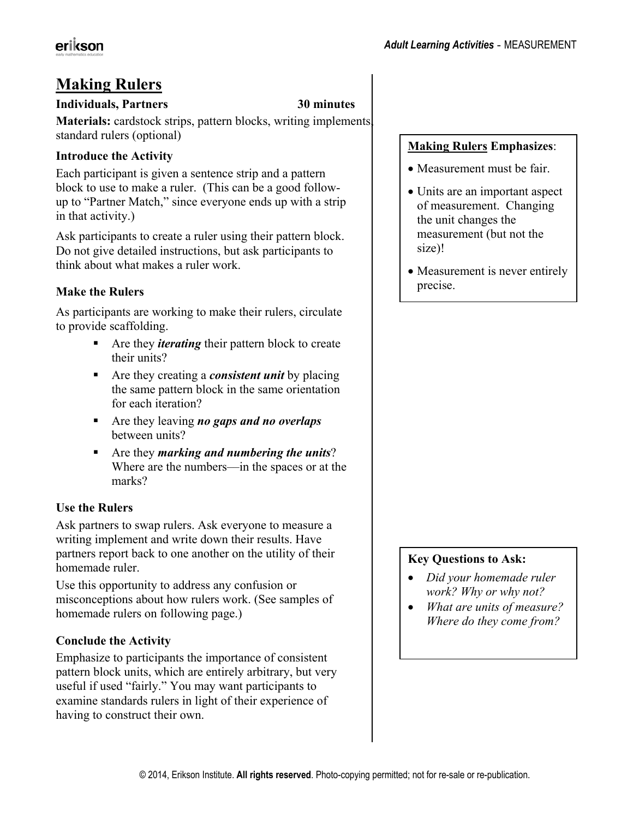# **Making Rulers**

#### **Individuals, Partners 30 minutes**

**Materials:** cardstock strips, pattern blocks, writing implements, standard rulers (optional)

### **Introduce the Activity**

Each participant is given a sentence strip and a pattern block to use to make a ruler. (This can be a good followup to "Partner Match," since everyone ends up with a strip in that activity.)

Ask participants to create a ruler using their pattern block. Do not give detailed instructions, but ask participants to think about what makes a ruler work.

## **Make the Rulers**

As participants are working to make their rulers, circulate to provide scaffolding.

- **Are they** *iterating* their pattern block to create their units?
- Are they creating a *consistent unit* by placing the same pattern block in the same orientation for each iteration?
- Are they leaving *no gaps and no overlaps* between units?
- Are they *marking and numbering the units*? Where are the numbers—in the spaces or at the marks?

### **Use the Rulers**

Ask partners to swap rulers. Ask everyone to measure a writing implement and write down their results. Have partners report back to one another on the utility of their homemade ruler.

Use this opportunity to address any confusion or misconceptions about how rulers work. (See samples of homemade rulers on following page.)

### **Conclude the Activity**

Emphasize to participants the importance of consistent pattern block units, which are entirely arbitrary, but very useful if used "fairly." You may want participants to examine standards rulers in light of their experience of having to construct their own.

#### **Making Rulers Emphasizes**:

- Measurement must be fair.
- Units are an important aspect of measurement. Changing the unit changes the measurement (but not the size)!
- Measurement is never entirely precise.

### **Key Questions to Ask:**

- x *Did your homemade ruler work? Why or why not?*
- x *What are units of measure? Where do they come from?*